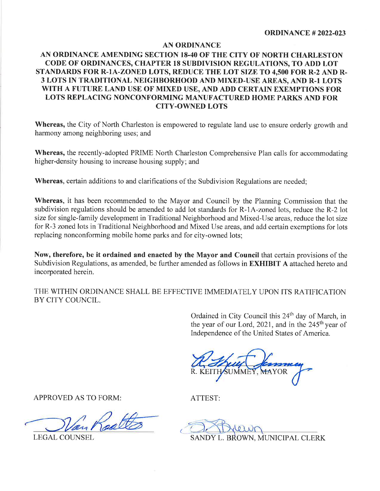## **AN ORDINANCE**

## AN ORDINANCE AMENDING SECTION 18-40 OF THE CITY OF NORTH CHARLESTON CODE OF ORDINANCES, CHAPTER 18 SUBDIVISION REGULATIONS, TO ADD LOT STANDARDS FOR R-1A-ZONED LOTS, REDUCE THE LOT SIZE TO 4,500 FOR R-2 AND R-3 LOTS IN TRADITIONAL NEIGHBORHOOD AND MIXED-USE AREAS, AND R-1 LOTS WITH A FUTURE LAND USE OF MIXED USE, AND ADD CERTAIN EXEMPTIONS FOR LOTS REPLACING NONCONFORMING MANUFACTURED HOME PARKS AND FOR **CITY-OWNED LOTS**

Whereas, the City of North Charleston is empowered to regulate land use to ensure orderly growth and harmony among neighboring uses; and

**Whereas,** the recently-adopted PRIME North Charleston Comprehensive Plan calls for accommodating higher-density housing to increase housing supply; and

Whereas, certain additions to and clarifications of the Subdivision Regulations are needed;

Whereas, it has been recommended to the Mayor and Council by the Planning Commission that the subdivision regulations should be amended to add lot standards for R-1A-zoned lots, reduce the R-2 lot size for single-family development in Traditional Neighborhood and Mixed-Use areas, reduce the lot size for R-3 zoned lots in Traditional Neighborhood and Mixed Use areas, and add certain exemptions for lots replacing nonconforming mobile home parks and for city-owned lots;

Now, therefore, be it ordained and enacted by the Mayor and Council that certain provisions of the Subdivision Regulations, as amended, be further amended as follows in **EXHIBIT** A attached hereto and incorporated herein.

THE WITHIN ORDINANCE SHALL BE EFFECTIVE IMMEDIATELY UPON ITS RATIFICATION BY CITY COUNCIL.

> Ordained in City Council this 24<sup>th</sup> day of March, in the year of our Lord, 2021, and in the 245<sup>th</sup> year of Independence of the United States of America.

**APPROVED AS TO FORM:** 

**LEGAL COUNSEL** 

ATTEST:

SANDY L. BROWN, MUNICIPAL CLERK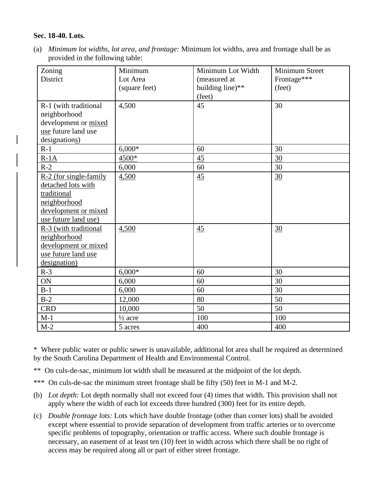## **Sec. 18-40. Lots.**

(a) *Minimum lot widths, lot area, and frontage:* Minimum lot widths, area and frontage shall be as provided in the following table:

| Zoning                   | Minimum            | Minimum Lot Width | Minimum Street |
|--------------------------|--------------------|-------------------|----------------|
| District                 | Lot Area           | (measured at      | Frontage***    |
|                          | (square feet)      | building line)**  | (feet)         |
|                          |                    | (feet)            |                |
| R-1 (with traditional    | 4,500              | 45                | 30             |
| neighborhood             |                    |                   |                |
| development or mixed     |                    |                   |                |
| use future land use      |                    |                   |                |
| designations)            |                    |                   |                |
| $R-1$                    | $6,000*$           | 60                | 30             |
| $R-1A$                   | 4500*              | 45                | 30             |
| $R-2$                    | 6,000              | 60                | 30             |
| $R-2$ (for single-family | 4,500              | 45                | 30             |
| detached lots with       |                    |                   |                |
| traditional              |                    |                   |                |
| neighborhood             |                    |                   |                |
| development or mixed     |                    |                   |                |
| use future land use)     |                    |                   |                |
| R-3 (with traditional    | 4,500              | 45                | 30             |
| neighborhood             |                    |                   |                |
| development or mixed     |                    |                   |                |
| use future land use      |                    |                   |                |
| designation)             |                    |                   |                |
| $R-3$                    | $6,000*$           | 60                | 30             |
| ON                       | 6,000              | 60                | 30             |
| $B-1$                    | 6,000              | 60                | 30             |
| $B-2$                    | 12,000             | 80                | 50             |
| <b>CRD</b>               | 10,000             | 50                | 50             |
| $M-1$                    | $\frac{1}{2}$ acre | 100               | 100            |
| $M-2$                    | 5 acres            | 400               | 400            |

\* Where public water or public sewer is unavailable, additional lot area shall be required as determined by the South Carolina Department of Health and Environmental Control.

- \*\* On culs-de-sac, minimum lot width shall be measured at the midpoint of the lot depth.
- \*\*\* On culs-de-sac the minimum street frontage shall be fifty (50) feet in M-1 and M-2.
- (b) *Lot depth:* Lot depth normally shall not exceed four (4) times that width. This provision shall not apply where the width of each lot exceeds three hundred (300) feet for its entire depth.
- (c) *Double frontage lots:* Lots which have double frontage (other than corner lots) shall be avoided except where essential to provide separation of development from traffic arteries or to overcome specific problems of topography, orientation or traffic access. Where such double frontage is necessary, an easement of at least ten (10) feet in width across which there shall be no right of access may be required along all or part of either street frontage.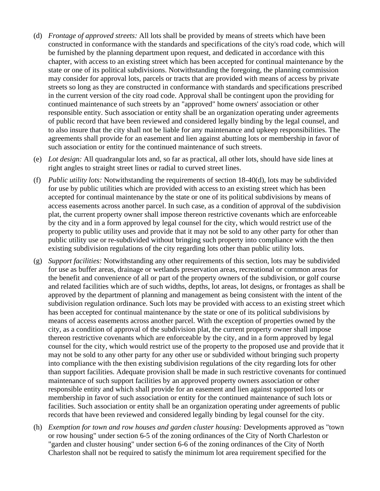- (d) *Frontage of approved streets:* All lots shall be provided by means of streets which have been constructed in conformance with the standards and specifications of the city's road code, which will be furnished by the planning department upon request, and dedicated in accordance with this chapter, with access to an existing street which has been accepted for continual maintenance by the state or one of its political subdivisions. Notwithstanding the foregoing, the planning commission may consider for approval lots, parcels or tracts that are provided with means of access by private streets so long as they are constructed in conformance with standards and specifications prescribed in the current version of the city road code. Approval shall be contingent upon the providing for continued maintenance of such streets by an "approved" home owners' association or other responsible entity. Such association or entity shall be an organization operating under agreements of public record that have been reviewed and considered legally binding by the legal counsel, and to also insure that the city shall not be liable for any maintenance and upkeep responsibilities. The agreements shall provide for an easement and lien against abutting lots or membership in favor of such association or entity for the continued maintenance of such streets.
- (e) *Lot design:* All quadrangular lots and, so far as practical, all other lots, should have side lines at right angles to straight street lines or radial to curved street lines.
- (f) *Public utility lots:* Notwithstanding the requirements of section 18-40(d), lots may be subdivided for use by public utilities which are provided with access to an existing street which has been accepted for continual maintenance by the state or one of its political subdivisions by means of access easements across another parcel. In such case, as a condition of approval of the subdivision plat, the current property owner shall impose thereon restrictive covenants which are enforceable by the city and in a form approved by legal counsel for the city, which would restrict use of the property to public utility uses and provide that it may not be sold to any other party for other than public utility use or re-subdivided without bringing such property into compliance with the then existing subdivision regulations of the city regarding lots other than public utility lots.
- (g) *Support facilities:* Notwithstanding any other requirements of this section, lots may be subdivided for use as buffer areas, drainage or wetlands preservation areas, recreational or common areas for the benefit and convenience of all or part of the property owners of the subdivision, or golf course and related facilities which are of such widths, depths, lot areas, lot designs, or frontages as shall be approved by the department of planning and management as being consistent with the intent of the subdivision regulation ordinance. Such lots may be provided with access to an existing street which has been accepted for continual maintenance by the state or one of its political subdivisions by means of access easements across another parcel. With the exception of properties owned by the city, as a condition of approval of the subdivision plat, the current property owner shall impose thereon restrictive covenants which are enforceable by the city, and in a form approved by legal counsel for the city, which would restrict use of the property to the proposed use and provide that it may not be sold to any other party for any other use or subdivided without bringing such property into compliance with the then existing subdivision regulations of the city regarding lots for other than support facilities. Adequate provision shall be made in such restrictive covenants for continued maintenance of such support facilities by an approved property owners association or other responsible entity and which shall provide for an easement and lien against supported lots or membership in favor of such association or entity for the continued maintenance of such lots or facilities. Such association or entity shall be an organization operating under agreements of public records that have been reviewed and considered legally binding by legal counsel for the city.
- (h) *Exemption for town and row houses and garden cluster housing:* Developments approved as "town or row housing" under section 6-5 of the zoning ordinances of the City of North Charleston or "garden and cluster housing" under section 6-6 of the zoning ordinances of the City of North Charleston shall not be required to satisfy the minimum lot area requirement specified for the